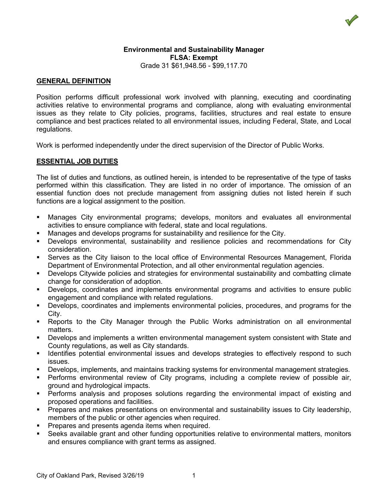

### **Environmental and Sustainability Manager FLSA: Exempt** Grade 31 \$61,948.56 - \$99,117.70

## **GENERAL DEFINITION**

Position performs difficult professional work involved with planning, executing and coordinating activities relative to environmental programs and compliance, along with evaluating environmental issues as they relate to City policies, programs, facilities, structures and real estate to ensure compliance and best practices related to all environmental issues, including Federal, State, and Local regulations.

Work is performed independently under the direct supervision of the Director of Public Works.

### **ESSENTIAL JOB DUTIES**

The list of duties and functions, as outlined herein, is intended to be representative of the type of tasks performed within this classification. They are listed in no order of importance. The omission of an essential function does not preclude management from assigning duties not listed herein if such functions are a logical assignment to the position.

- Manages City environmental programs; develops, monitors and evaluates all environmental activities to ensure compliance with federal, state and local regulations.
- **Manages and develops programs for sustainability and resilience for the City.**
- Develops environmental, sustainability and resilience policies and recommendations for City consideration.
- Serves as the City liaison to the local office of Environmental Resources Management, Florida Department of Environmental Protection, and all other environmental regulation agencies.
- Develops Citywide policies and strategies for environmental sustainability and combatting climate change for consideration of adoption.
- Develops, coordinates and implements environmental programs and activities to ensure public engagement and compliance with related regulations.
- Develops, coordinates and implements environmental policies, procedures, and programs for the City.
- Reports to the City Manager through the Public Works administration on all environmental matters.
- Develops and implements a written environmental management system consistent with State and County regulations, as well as City standards.
- **IDENTIFY IDENTIFY ISSUES 10** increding strategies to effectively respond to such issues.
- Develops, implements, and maintains tracking systems for environmental management strategies.
- Performs environmental review of City programs, including a complete review of possible air, ground and hydrological impacts.
- Performs analysis and proposes solutions regarding the environmental impact of existing and proposed operations and facilities.
- **Prepares and makes presentations on environmental and sustainability issues to City leadership,** members of the public or other agencies when required.
- **Prepares and presents agenda items when required.**
- Seeks available grant and other funding opportunities relative to environmental matters, monitors and ensures compliance with grant terms as assigned.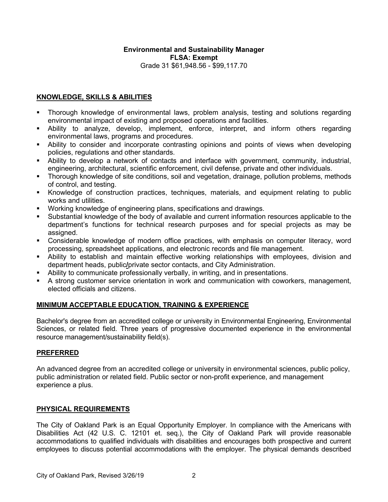## **Environmental and Sustainability Manager FLSA: Exempt** Grade 31 \$61,948.56 - \$99,117.70

# **KNOWLEDGE, SKILLS & ABILITIES**

- Thorough knowledge of environmental laws, problem analysis, testing and solutions regarding environmental impact of existing and proposed operations and facilities.
- Ability to analyze, develop, implement, enforce, interpret, and inform others regarding environmental laws, programs and procedures.
- Ability to consider and incorporate contrasting opinions and points of views when developing policies, regulations and other standards.
- Ability to develop a network of contacts and interface with government, community, industrial, engineering, architectural, scientific enforcement, civil defense, private and other individuals.
- Thorough knowledge of site conditions, soil and vegetation, drainage, pollution problems, methods of control, and testing.
- Knowledge of construction practices, techniques, materials, and equipment relating to public works and utilities.
- Working knowledge of engineering plans, specifications and drawings.
- Substantial knowledge of the body of available and current information resources applicable to the department's functions for technical research purposes and for special projects as may be assigned.
- Considerable knowledge of modern office practices, with emphasis on computer literacy, word processing, spreadsheet applications, and electronic records and file management.
- Ability to establish and maintain effective working relationships with employees, division and department heads, public**/**private sector contacts, and City Administration.
- Ability to communicate professionally verbally, in writing, and in presentations.
- A strong customer service orientation in work and communication with coworkers, management, elected officials and citizens.

# **MINIMUM ACCEPTABLE EDUCATION, TRAINING & EXPERIENCE**

Bachelor's degree from an accredited college or university in Environmental Engineering, Environmental Sciences, or related field. Three years of progressive documented experience in the environmental resource management/sustainability field(s).

### **PREFERRED**

An advanced degree from an accredited college or university in environmental sciences, public policy, public administration or related field. Public sector or non-profit experience, and management experience a plus.

# **PHYSICAL REQUIREMENTS**

The City of Oakland Park is an Equal Opportunity Employer. In compliance with the Americans with Disabilities Act (42 U.S. C. 12101 et. seq.), the City of Oakland Park will provide reasonable accommodations to qualified individuals with disabilities and encourages both prospective and current employees to discuss potential accommodations with the employer. The physical demands described